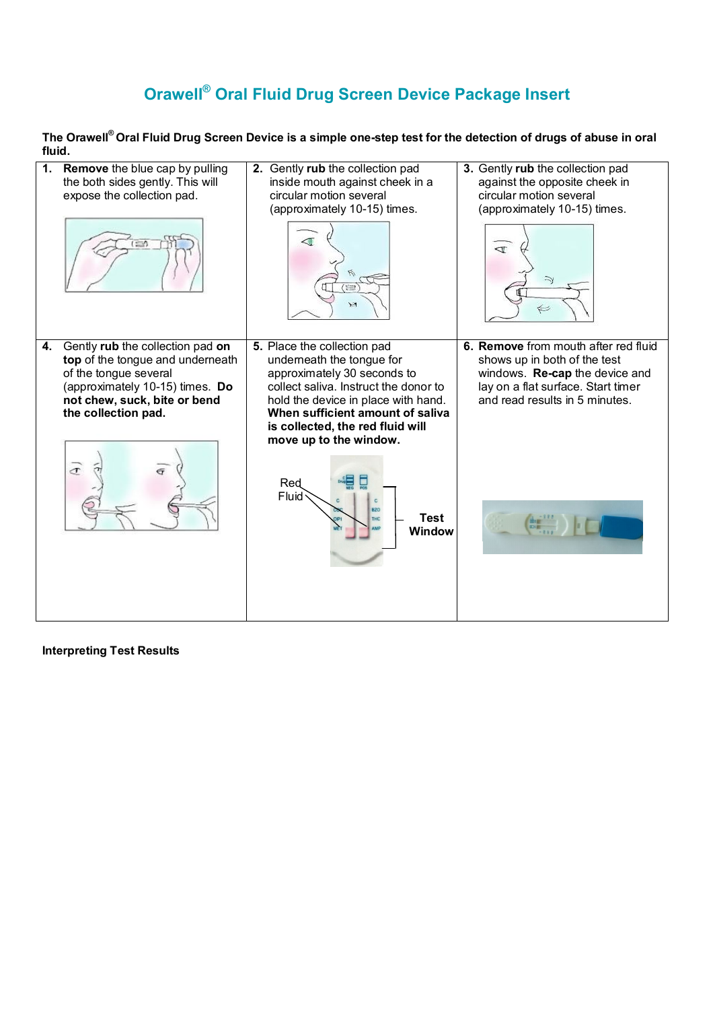## **Orawell® Oral Fluid Drug Screen Device Package Insert**

**The Orawell® Oral Fluid Drug Screen Device is a simple one-step test for the detection of drugs of abuse in oral fluid.**

| 1. | <b>Remove</b> the blue cap by pulling<br>the both sides gently. This will<br>expose the collection pad.<br>$\equiv$                                                                                 | 2. Gently rub the collection pad<br>inside mouth against cheek in a<br>circular motion several<br>(approximately 10-15) times.<br>篇<br>$\geq$ 1                                                                                                                                                                                                                | 3. Gently rub the collection pad<br>against the opposite cheek in<br>circular motion several<br>(approximately 10-15) times.<br>4                                              |
|----|-----------------------------------------------------------------------------------------------------------------------------------------------------------------------------------------------------|----------------------------------------------------------------------------------------------------------------------------------------------------------------------------------------------------------------------------------------------------------------------------------------------------------------------------------------------------------------|--------------------------------------------------------------------------------------------------------------------------------------------------------------------------------|
| 4. | Gently rub the collection pad on<br>top of the tongue and underneath<br>of the tongue several<br>(approximately 10-15) times. Do<br>not chew, suck, bite or bend<br>the collection pad.<br>$\sigma$ | 5. Place the collection pad<br>underneath the tongue for<br>approximately 30 seconds to<br>collect saliva. Instruct the donor to<br>hold the device in place with hand.<br>When sufficient amount of saliva<br>is collected, the red fluid will<br>move up to the window.<br>Red<br>Fluid<br>$\mathbb{C}$<br><b>BZO</b><br><b>Test</b><br>THC<br><b>Window</b> | 6. Remove from mouth after red fluid<br>shows up in both of the test<br>windows. Re-cap the device and<br>lay on a flat surface. Start timer<br>and read results in 5 minutes. |

**Interpreting Test Results**